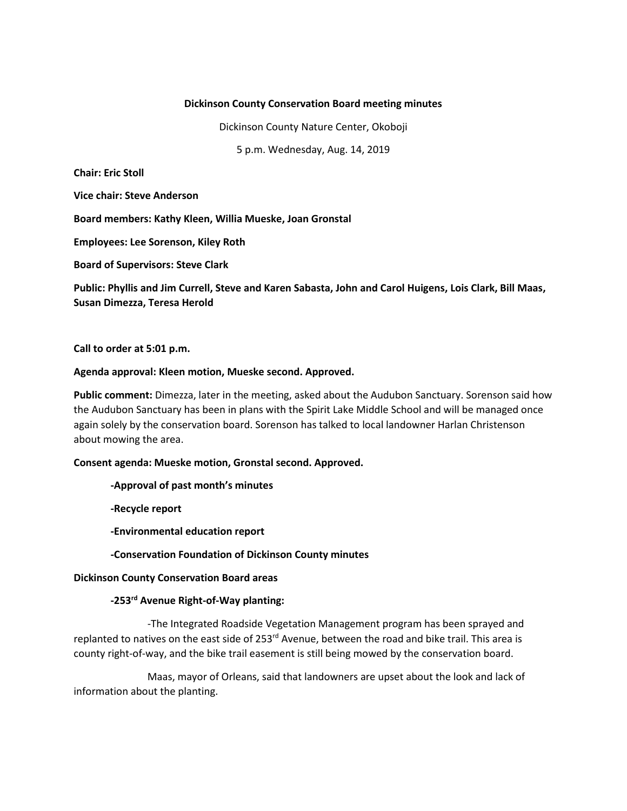### **Dickinson County Conservation Board meeting minutes**

Dickinson County Nature Center, Okoboji

5 p.m. Wednesday, Aug. 14, 2019

**Chair: Eric Stoll**

**Vice chair: Steve Anderson**

**Board members: Kathy Kleen, Willia Mueske, Joan Gronstal**

**Employees: Lee Sorenson, Kiley Roth**

**Board of Supervisors: Steve Clark**

**Public: Phyllis and Jim Currell, Steve and Karen Sabasta, John and Carol Huigens, Lois Clark, Bill Maas, Susan Dimezza, Teresa Herold**

**Call to order at 5:01 p.m.**

## **Agenda approval: Kleen motion, Mueske second. Approved.**

**Public comment:** Dimezza, later in the meeting, asked about the Audubon Sanctuary. Sorenson said how the Audubon Sanctuary has been in plans with the Spirit Lake Middle School and will be managed once again solely by the conservation board. Sorenson has talked to local landowner Harlan Christenson about mowing the area.

#### **Consent agenda: Mueske motion, Gronstal second. Approved.**

**-Approval of past month's minutes**

**-Recycle report**

**-Environmental education report**

**-Conservation Foundation of Dickinson County minutes**

#### **Dickinson County Conservation Board areas**

**-253rd Avenue Right-of-Way planting:**

-The Integrated Roadside Vegetation Management program has been sprayed and replanted to natives on the east side of 253<sup>rd</sup> Avenue, between the road and bike trail. This area is county right-of-way, and the bike trail easement is still being mowed by the conservation board.

Maas, mayor of Orleans, said that landowners are upset about the look and lack of information about the planting.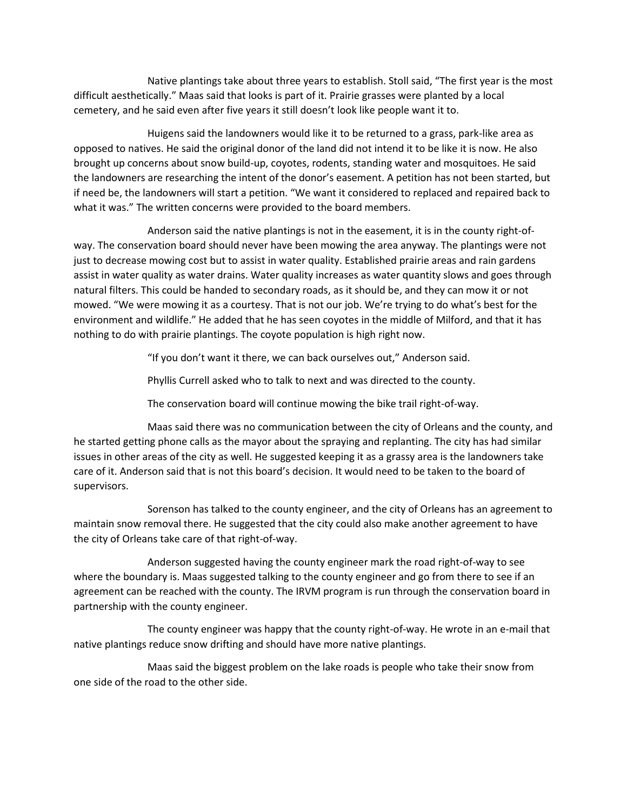Native plantings take about three years to establish. Stoll said, "The first year is the most difficult aesthetically." Maas said that looks is part of it. Prairie grasses were planted by a local cemetery, and he said even after five years it still doesn't look like people want it to.

Huigens said the landowners would like it to be returned to a grass, park-like area as opposed to natives. He said the original donor of the land did not intend it to be like it is now. He also brought up concerns about snow build-up, coyotes, rodents, standing water and mosquitoes. He said the landowners are researching the intent of the donor's easement. A petition has not been started, but if need be, the landowners will start a petition. "We want it considered to replaced and repaired back to what it was." The written concerns were provided to the board members.

Anderson said the native plantings is not in the easement, it is in the county right-ofway. The conservation board should never have been mowing the area anyway. The plantings were not just to decrease mowing cost but to assist in water quality. Established prairie areas and rain gardens assist in water quality as water drains. Water quality increases as water quantity slows and goes through natural filters. This could be handed to secondary roads, as it should be, and they can mow it or not mowed. "We were mowing it as a courtesy. That is not our job. We're trying to do what's best for the environment and wildlife." He added that he has seen coyotes in the middle of Milford, and that it has nothing to do with prairie plantings. The coyote population is high right now.

"If you don't want it there, we can back ourselves out," Anderson said.

Phyllis Currell asked who to talk to next and was directed to the county.

The conservation board will continue mowing the bike trail right-of-way.

Maas said there was no communication between the city of Orleans and the county, and he started getting phone calls as the mayor about the spraying and replanting. The city has had similar issues in other areas of the city as well. He suggested keeping it as a grassy area is the landowners take care of it. Anderson said that is not this board's decision. It would need to be taken to the board of supervisors.

Sorenson has talked to the county engineer, and the city of Orleans has an agreement to maintain snow removal there. He suggested that the city could also make another agreement to have the city of Orleans take care of that right-of-way.

Anderson suggested having the county engineer mark the road right-of-way to see where the boundary is. Maas suggested talking to the county engineer and go from there to see if an agreement can be reached with the county. The IRVM program is run through the conservation board in partnership with the county engineer.

The county engineer was happy that the county right-of-way. He wrote in an e-mail that native plantings reduce snow drifting and should have more native plantings.

Maas said the biggest problem on the lake roads is people who take their snow from one side of the road to the other side.